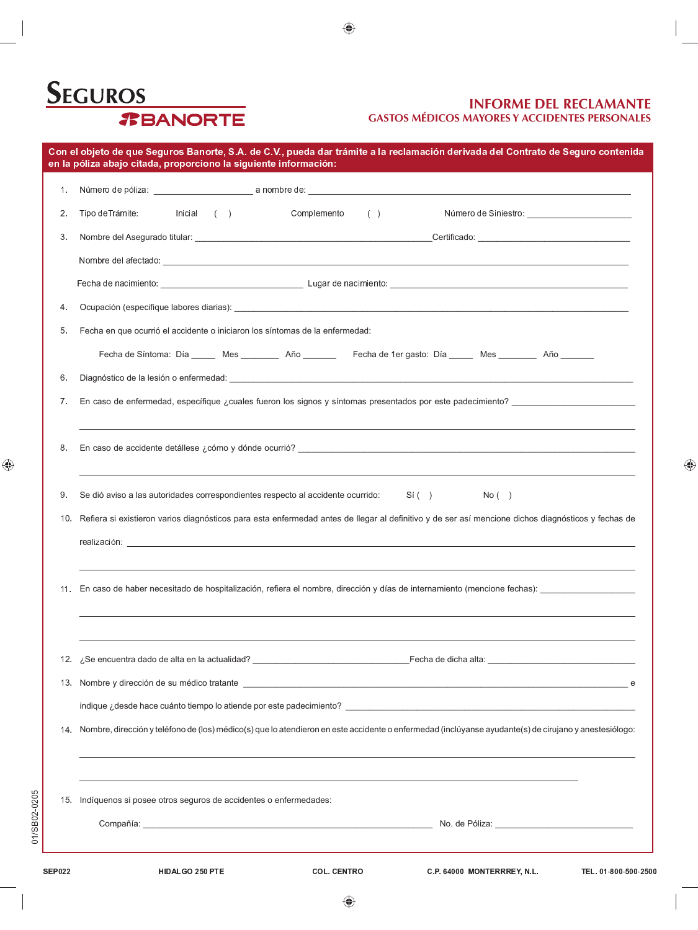## **SEGUROS**<br>**SEGUROS**

## **INFORME DEL RECLAMANTE GASTOS MÉDICOS MAYORES Y ACCIDENTES PERSONALES**

 $\bigoplus$ 

| Con el objeto de que Seguros Banorte, S.A. de C.V., pueda dar trámite a la reclamación derivada del Contrato de Seguro contenida<br>en la póliza abajo citada, proporciono la siguiente información: |                                                                                                                                                                                                                                                         |  |  |  |  |  |
|------------------------------------------------------------------------------------------------------------------------------------------------------------------------------------------------------|---------------------------------------------------------------------------------------------------------------------------------------------------------------------------------------------------------------------------------------------------------|--|--|--|--|--|
| $\mathbf{1}$ .                                                                                                                                                                                       |                                                                                                                                                                                                                                                         |  |  |  |  |  |
| 2.                                                                                                                                                                                                   | Tipo de Trámite:<br>Complemento<br>Inicial ( )<br>$\left( \begin{array}{c} \end{array} \right)$<br>Número de Siniestro: _________________________                                                                                                       |  |  |  |  |  |
| 3.                                                                                                                                                                                                   | Nombre del Asegurado titular: University of the Certificado: University of Certificado: University of the Certificado: University of the Certificado: University of the Certificado: University of the Certificado: University                          |  |  |  |  |  |
|                                                                                                                                                                                                      |                                                                                                                                                                                                                                                         |  |  |  |  |  |
|                                                                                                                                                                                                      |                                                                                                                                                                                                                                                         |  |  |  |  |  |
| 4.                                                                                                                                                                                                   |                                                                                                                                                                                                                                                         |  |  |  |  |  |
| 5.                                                                                                                                                                                                   | Fecha en que ocurrió el accidente o iniciaron los síntomas de la enfermedad:                                                                                                                                                                            |  |  |  |  |  |
|                                                                                                                                                                                                      | Fecha de Síntoma: Día _____ Mes ________ Año _______ Fecha de 1er gasto: Día _____ Mes ________ Año _______                                                                                                                                             |  |  |  |  |  |
| 6.                                                                                                                                                                                                   |                                                                                                                                                                                                                                                         |  |  |  |  |  |
| 7.                                                                                                                                                                                                   |                                                                                                                                                                                                                                                         |  |  |  |  |  |
| 8.                                                                                                                                                                                                   |                                                                                                                                                                                                                                                         |  |  |  |  |  |
| 9.<br>10.                                                                                                                                                                                            | Se dió aviso a las autoridades correspondientes respecto al accidente ocurrido:<br>Si( )<br>No( )<br>Refiera si existieron varios diagnósticos para esta enfermedad antes de llegar al definitivo y de ser así mencione dichos diagnósticos y fechas de |  |  |  |  |  |
|                                                                                                                                                                                                      |                                                                                                                                                                                                                                                         |  |  |  |  |  |
|                                                                                                                                                                                                      |                                                                                                                                                                                                                                                         |  |  |  |  |  |
|                                                                                                                                                                                                      | 13. Nombre y dirección de su médico tratante en el production de la contracta de la contracta de la contracta de la contracta de la contracta de la contracta de la contracta de la contracta de la contracta de la contracta<br>e                      |  |  |  |  |  |
|                                                                                                                                                                                                      | indique ¿desde hace cuánto tiempo lo atiende por este padecimiento?<br>The content of the content of the content of the content of the content of the content of the content of the content of the content of the content of the                        |  |  |  |  |  |
|                                                                                                                                                                                                      | 14. Nombre, dirección y teléfono de (los) médico(s) que lo atendieron en este accidente o enfermedad (inclúyanse ayudante(s) de cirujano y anestesiólogo:                                                                                               |  |  |  |  |  |
|                                                                                                                                                                                                      | 15. Indíquenos si posee otros seguros de accidentes o enfermedades:                                                                                                                                                                                     |  |  |  |  |  |
|                                                                                                                                                                                                      | No. de Póliza: en alguna en alguna en alguna en alguna en alguna en alguna en alguna en alguna en alguna en al                                                                                                                                          |  |  |  |  |  |
| <b>SEP022</b>                                                                                                                                                                                        | HIDALGO 250 PTE<br><b>COL. CENTRO</b><br>C.P. 64000 MONTERRREY, N.L.<br>TEL. 01-800-500-2500                                                                                                                                                            |  |  |  |  |  |

 $\bigoplus$ 

01/SB02-0205

 $\bigoplus$